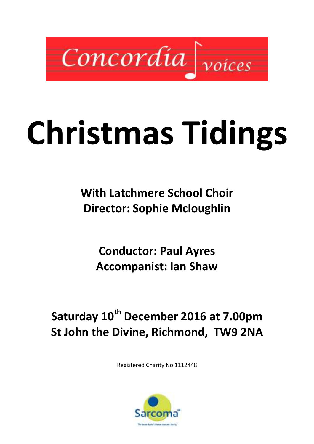

# Christmas Tidings

With Latchmere School Choir Director: Sophie Mcloughlin

Conductor: Paul Ayres Accompanist: Ian Shaw

# Saturday 10<sup>th</sup> December 2016 at 7.00pm St John the Divine, Richmond, TW9 2NA

Registered Charity No 1112448

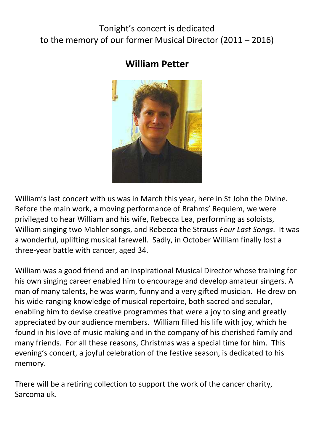# Tonight's concert is dedicated to the memory of our former Musical Director (2011 – 2016)

# William Petter



William's last concert with us was in March this year, here in St John the Divine. Before the main work, a moving performance of Brahms' Requiem, we were privileged to hear William and his wife, Rebecca Lea, performing as soloists, William singing two Mahler songs, and Rebecca the Strauss Four Last Songs. It was a wonderful, uplifting musical farewell. Sadly, in October William finally lost a three-year battle with cancer, aged 34.

William was a good friend and an inspirational Musical Director whose training for his own singing career enabled him to encourage and develop amateur singers. A man of many talents, he was warm, funny and a very gifted musician. He drew on his wide-ranging knowledge of musical repertoire, both sacred and secular, enabling him to devise creative programmes that were a joy to sing and greatly appreciated by our audience members. William filled his life with joy, which he found in his love of music making and in the company of his cherished family and many friends. For all these reasons, Christmas was a special time for him. This evening's concert, a joyful celebration of the festive season, is dedicated to his memory.

There will be a retiring collection to support the work of the cancer charity, Sarcoma uk.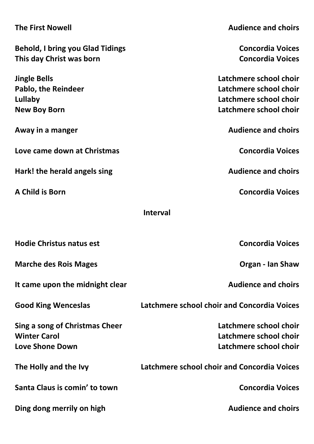| <b>The First Nowell</b>                 | <b>Audience and choirs</b>                  |
|-----------------------------------------|---------------------------------------------|
| <b>Behold, I bring you Glad Tidings</b> | <b>Concordia Voices</b>                     |
| This day Christ was born                | <b>Concordia Voices</b>                     |
|                                         |                                             |
| <b>Jingle Bells</b>                     | Latchmere school choir                      |
| <b>Pablo, the Reindeer</b>              | Latchmere school choir                      |
| Lullaby                                 | Latchmere school choir                      |
| <b>New Boy Born</b>                     | Latchmere school choir                      |
| Away in a manger                        | <b>Audience and choirs</b>                  |
| Love came down at Christmas             | <b>Concordia Voices</b>                     |
| Hark! the herald angels sing            | <b>Audience and choirs</b>                  |
| A Child is Born                         | <b>Concordia Voices</b>                     |
|                                         | <b>Interval</b>                             |
|                                         |                                             |
| <b>Hodie Christus natus est</b>         | <b>Concordia Voices</b>                     |
| <b>Marche des Rois Mages</b>            | <b>Organ - Ian Shaw</b>                     |
| It came upon the midnight clear         | <b>Audience and choirs</b>                  |
| <b>Good King Wenceslas</b>              | Latchmere school choir and Concordia Voices |
| Sing a song of Christmas Cheer          | Latchmere school choir                      |
| <b>Winter Carol</b>                     | Latchmere school choir                      |
| <b>Love Shone Down</b>                  | Latchmere school choir                      |
|                                         |                                             |
| The Holly and the Ivy                   | Latchmere school choir and Concordia Voices |
| Santa Claus is comin' to town           | <b>Concordia Voices</b>                     |
| Ding dong merrily on high               | <b>Audience and choirs</b>                  |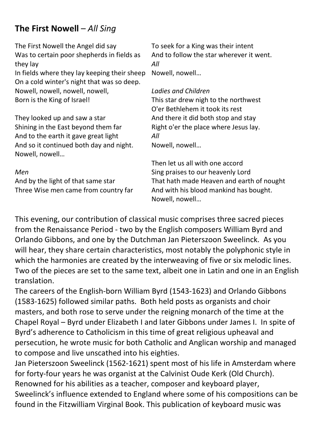# The First Nowell – All Sing

The First Nowell the Angel did say Was to certain poor shepherds in fields as they lay In fields where they lay keeping their sheep On a cold winter's night that was so deep. Nowell, nowell, nowell, nowell, Born is the King of Israel!

They looked up and saw a star Shining in the East beyond them far And to the earth it gave great light And so it continued both day and night. Nowell, nowell…

### Men

And by the light of that same star Three Wise men came from country far To seek for a King was their intent And to follow the star wherever it went. All

Nowell, nowell…

### Ladies and Children

This star drew nigh to the northwest O'er Bethlehem it took its rest And there it did both stop and stay Right o'er the place where Jesus lay. All

Nowell, nowell…

Then let us all with one accord Sing praises to our heavenly Lord That hath made Heaven and earth of nought And with his blood mankind has bought. Nowell, nowell…

This evening, our contribution of classical music comprises three sacred pieces from the Renaissance Period - two by the English composers William Byrd and Orlando Gibbons, and one by the Dutchman Jan Pieterszoon Sweelinck. As you will hear, they share certain characteristics, most notably the polyphonic style in which the harmonies are created by the interweaving of five or six melodic lines. Two of the pieces are set to the same text, albeit one in Latin and one in an English translation.

The careers of the English-born William Byrd (1543-1623) and Orlando Gibbons (1583-1625) followed similar paths. Both held posts as organists and choir masters, and both rose to serve under the reigning monarch of the time at the Chapel Royal – Byrd under Elizabeth I and later Gibbons under James I. In spite of Byrd's adherence to Catholicism in this time of great religious upheaval and persecution, he wrote music for both Catholic and Anglican worship and managed to compose and live unscathed into his eighties.

Jan Pieterszoon Sweelinck (1562-1621) spent most of his life in Amsterdam where for forty-four years he was organist at the Calvinist Oude Kerk (Old Church). Renowned for his abilities as a teacher, composer and keyboard player, Sweelinck's influence extended to England where some of his compositions can be found in the Fitzwilliam Virginal Book. This publication of keyboard music was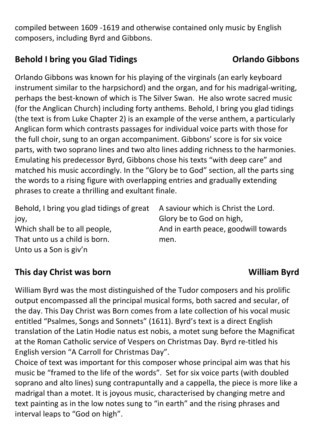compiled between 1609 -1619 and otherwise contained only music by English composers, including Byrd and Gibbons.

# Behold I bring you Glad Tidings **Selection Contract Contract Contract Contract Contract Contract Contract Contract Contract Contract Contract Contract Contract Contract Contract Contract Contract Contract Contract Contract**

Orlando Gibbons was known for his playing of the virginals (an early keyboard instrument similar to the harpsichord) and the organ, and for his madrigal-writing, perhaps the best-known of which is The Silver Swan. He also wrote sacred music (for the Anglican Church) including forty anthems. Behold, I bring you glad tidings (the text is from Luke Chapter 2) is an example of the verse anthem, a particularly Anglican form which contrasts passages for individual voice parts with those for the full choir, sung to an organ accompaniment. Gibbons' score is for six voice parts, with two soprano lines and two alto lines adding richness to the harmonies. Emulating his predecessor Byrd, Gibbons chose his texts "with deep care" and matched his music accordingly. In the "Glory be to God" section, all the parts sing the words to a rising figure with overlapping entries and gradually extending phrases to create a thrilling and exultant finale.

| Behold, I bring you glad tidings of great | A saviour which is Christ the Lord.  |
|-------------------------------------------|--------------------------------------|
| jov,                                      | Glory be to God on high,             |
| Which shall be to all people,             | And in earth peace, goodwill towards |
| That unto us a child is born.             | men.                                 |
| Unto us a Son is giv'n                    |                                      |

# This day Christ was born William Byrd

William Byrd was the most distinguished of the Tudor composers and his prolific output encompassed all the principal musical forms, both sacred and secular, of the day. This Day Christ was Born comes from a late collection of his vocal music entitled "Psalmes, Songs and Sonnets" (1611). Byrd's text is a direct English translation of the Latin Hodie natus est nobis, a motet sung before the Magnificat at the Roman Catholic service of Vespers on Christmas Day. Byrd re-titled his English version "A Carroll for Christmas Day".

Choice of text was important for this composer whose principal aim was that his music be "framed to the life of the words". Set for six voice parts (with doubled soprano and alto lines) sung contrapuntally and a cappella, the piece is more like a madrigal than a motet. It is joyous music, characterised by changing metre and text painting as in the low notes sung to "in earth" and the rising phrases and interval leaps to "God on high".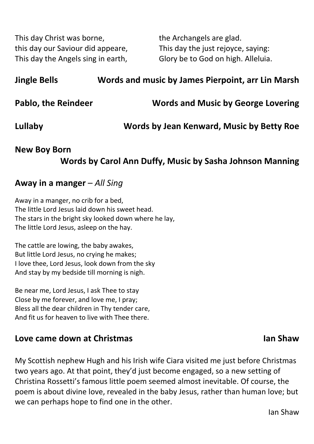This day Christ was borne, this day our Saviour did appeare, This day the Angels sing in earth,

the Archangels are glad. This day the just rejoyce, saying: Glory be to God on high. Alleluia.

| <b>Jingle Bells</b> | Words and music by James Pierpoint, arr Lin Marsh |
|---------------------|---------------------------------------------------|
| Pablo, the Reindeer | <b>Words and Music by George Lovering</b>         |
| Lullaby             | Words by Jean Kenward, Music by Betty Roe         |

# New Boy Born Words by Carol Ann Duffy, Music by Sasha Johnson Manning

# Away in a manger – All Sing

Away in a manger, no crib for a bed, The little Lord Jesus laid down his sweet head. The stars in the bright sky looked down where he lay, The little Lord Jesus, asleep on the hay.

The cattle are lowing, the baby awakes, But little Lord Jesus, no crying he makes; I love thee, Lord Jesus, look down from the sky And stay by my bedside till morning is nigh.

Be near me, Lord Jesus, I ask Thee to stay Close by me forever, and love me, I pray; Bless all the dear children in Thy tender care, And fit us for heaven to live with Thee there.

## Love came down at Christmas **International Christmas** Ian Shaw

My Scottish nephew Hugh and his Irish wife Ciara visited me just before Christmas two years ago. At that point, they'd just become engaged, so a new setting of Christina Rossetti's famous little poem seemed almost inevitable. Of course, the poem is about divine love, revealed in the baby Jesus, rather than human love; but we can perhaps hope to find one in the other.

# Ian Shaw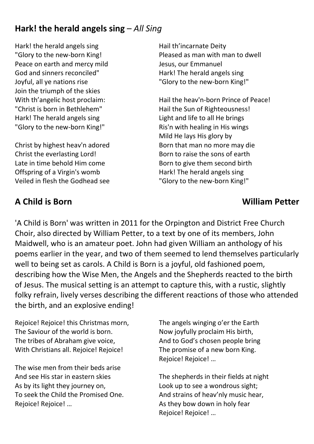# Hark! the herald angels sing  $-AII$  Sing

Hark! the herald angels sing "Glory to the new-born King! Peace on earth and mercy mild God and sinners reconciled" Joyful, all ye nations rise Join the triumph of the skies With th'angelic host proclaim: "Christ is born in Bethlehem" Hark! The herald angels sing "Glory to the new-born King!"

Christ by highest heav'n adored Christ the everlasting Lord! Late in time behold Him come Offspring of a Virgin's womb Veiled in flesh the Godhead see

Hail th'incarnate Deity Pleased as man with man to dwell Jesus, our Emmanuel Hark! The herald angels sing "Glory to the new-born King!"

Hail the heav'n-born Prince of Peace! Hail the Sun of Righteousness! Light and life to all He brings Ris'n with healing in His wings Mild He lays His glory by Born that man no more may die Born to raise the sons of earth Born to give them second birth Hark! The herald angels sing "Glory to the new-born King!"

# A Child is Born William Petter

'A Child is Born' was written in 2011 for the Orpington and District Free Church Choir, also directed by William Petter, to a text by one of its members, John Maidwell, who is an amateur poet. John had given William an anthology of his poems earlier in the year, and two of them seemed to lend themselves particularly well to being set as carols. A Child is Born is a joyful, old fashioned poem, describing how the Wise Men, the Angels and the Shepherds reacted to the birth of Jesus. The musical setting is an attempt to capture this, with a rustic, slightly folky refrain, lively verses describing the different reactions of those who attended the birth, and an explosive ending!

Rejoice! Rejoice! this Christmas morn, The Saviour of the world is born. The tribes of Abraham give voice, With Christians all. Rejoice! Rejoice!

The wise men from their beds arise And see His star in eastern skies As by its light they journey on, To seek the Child the Promised One. Rejoice! Rejoice! …

The angels winging o'er the Earth Now joyfully proclaim His birth, And to God's chosen people bring The promise of a new born King. Rejoice! Rejoice! …

The shepherds in their fields at night Look up to see a wondrous sight; And strains of heav'nly music hear, As they bow down in holy fear Rejoice! Rejoice! …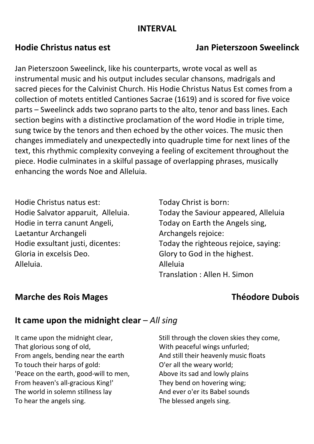# INTERVAL

Jan Pieterszoon Sweelinck, like his counterparts, wrote vocal as well as instrumental music and his output includes secular chansons, madrigals and sacred pieces for the Calvinist Church. His Hodie Christus Natus Est comes from a collection of motets entitled Cantiones Sacrae (1619) and is scored for five voice parts – Sweelinck adds two soprano parts to the alto, tenor and bass lines. Each section begins with a distinctive proclamation of the word Hodie in triple time, sung twice by the tenors and then echoed by the other voices. The music then changes immediately and unexpectedly into quadruple time for next lines of the text, this rhythmic complexity conveying a feeling of excitement throughout the piece. Hodie culminates in a skilful passage of overlapping phrases, musically enhancing the words Noe and Alleluia.

Hodie Christus natus est: Hodie Salvator apparuit, Alleluia. Hodie in terra canunt Angeli, Laetantur Archangeli Hodie exsultant justi, dicentes: Gloria in excelsis Deo. Alleluia.

Today Christ is born: Today the Saviour appeared, Alleluia Today on Earth the Angels sing, Archangels rejoice: Today the righteous rejoice, saying: Glory to God in the highest. Alleluia Translation : Allen H. Simon

# Marche des Rois Mages **Théodore Dubois**

# It came upon the midnight clear  $-AII$  sing

It came upon the midnight clear, That glorious song of old, From angels, bending near the earth To touch their harps of gold: 'Peace on the earth, good-will to men, From heaven's all-gracious King!' The world in solemn stillness lay To hear the angels sing.

Still through the cloven skies they come, With peaceful wings unfurled; And still their heavenly music floats O'er all the weary world; Above its sad and lowly plains They bend on hovering wing; And ever o'er its Babel sounds The blessed angels sing.

# Hodie Christus natus est Jan Pieterszoon Sweelinck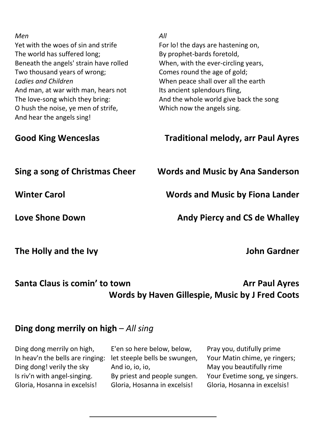| Men<br>Yet with the woes of sin and strife<br>The world has suffered long;<br>Beneath the angels' strain have rolled<br>Two thousand years of wrong;<br>Ladies and Children<br>And man, at war with man, hears not<br>The love-song which they bring:<br>O hush the noise, ye men of strife,<br>And hear the angels sing! | All<br>For lo! the days are hastening on,<br>By prophet-bards foretold,<br>When, with the ever-circling years,<br>Comes round the age of gold;<br>When peace shall over all the earth<br>Its ancient splendours fling,<br>And the whole world give back the song<br>Which now the angels sing. |
|---------------------------------------------------------------------------------------------------------------------------------------------------------------------------------------------------------------------------------------------------------------------------------------------------------------------------|------------------------------------------------------------------------------------------------------------------------------------------------------------------------------------------------------------------------------------------------------------------------------------------------|
| <b>Good King Wenceslas</b>                                                                                                                                                                                                                                                                                                | <b>Traditional melody, arr Paul Ayres</b>                                                                                                                                                                                                                                                      |
| Sing a song of Christmas Cheer                                                                                                                                                                                                                                                                                            | <b>Words and Music by Ana Sanderson</b>                                                                                                                                                                                                                                                        |
| <b>Winter Carol</b>                                                                                                                                                                                                                                                                                                       | <b>Words and Music by Fiona Lander</b>                                                                                                                                                                                                                                                         |
| <b>Love Shone Down</b>                                                                                                                                                                                                                                                                                                    | <b>Andy Piercy and CS de Whalley</b>                                                                                                                                                                                                                                                           |
| The Holly and the Ivy                                                                                                                                                                                                                                                                                                     | <b>John Gardner</b>                                                                                                                                                                                                                                                                            |

# Santa Claus is comin' to town Arr Paul Ayres Words by Haven Gillespie, Music by J Fred Coots

# Ding dong merrily on high  $-AII$  sing

Ding dong merrily on high, In heav'n the bells are ringing: Ding dong! verily the sky Is riv'n with angel-singing. Gloria, Hosanna in excelsis!

E'en so here below, below, let steeple bells be swungen, And io, io, io, By priest and people sungen. Gloria, Hosanna in excelsis!

Pray you, dutifully prime Your Matin chime, ye ringers; May you beautifully rime Your Evetime song, ye singers. Gloria, Hosanna in excelsis!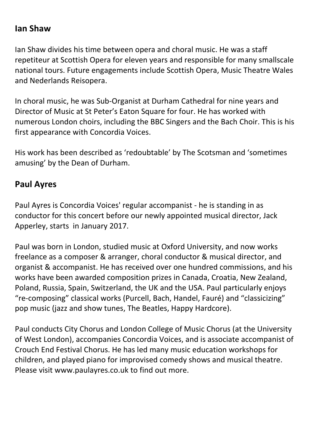# Ian Shaw

Ian Shaw divides his time between opera and choral music. He was a staff repetiteur at Scottish Opera for eleven years and responsible for many smallscale national tours. Future engagements include Scottish Opera, Music Theatre Wales and Nederlands Reisopera.

In choral music, he was Sub-Organist at Durham Cathedral for nine years and Director of Music at St Peter's Eaton Square for four. He has worked with numerous London choirs, including the BBC Singers and the Bach Choir. This is his first appearance with Concordia Voices.

His work has been described as 'redoubtable' by The Scotsman and 'sometimes amusing' by the Dean of Durham.

# Paul Ayres

Paul Ayres is Concordia Voices' regular accompanist - he is standing in as conductor for this concert before our newly appointed musical director, Jack Apperley, starts in January 2017.

Paul was born in London, studied music at Oxford University, and now works freelance as a composer & arranger, choral conductor & musical director, and organist & accompanist. He has received over one hundred commissions, and his works have been awarded composition prizes in Canada, Croatia, New Zealand, Poland, Russia, Spain, Switzerland, the UK and the USA. Paul particularly enjoys "re-composing" classical works (Purcell, Bach, Handel, Fauré) and "classicizing" pop music (jazz and show tunes, The Beatles, Happy Hardcore).

Paul conducts City Chorus and London College of Music Chorus (at the University of West London), accompanies Concordia Voices, and is associate accompanist of Crouch End Festival Chorus. He has led many music education workshops for children, and played piano for improvised comedy shows and musical theatre. Please visit www.paulayres.co.uk to find out more.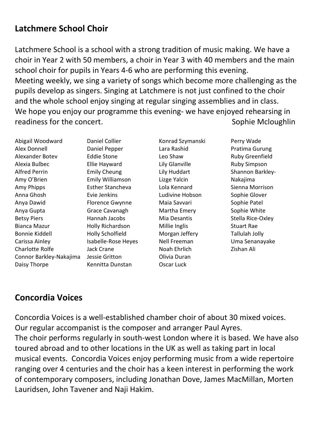# Latchmere School Choir

Latchmere School is a school with a strong tradition of music making. We have a choir in Year 2 with 50 members, a choir in Year 3 with 40 members and the main school choir for pupils in Years 4-6 who are performing this evening. Meeting weekly, we sing a variety of songs which become more challenging as the pupils develop as singers. Singing at Latchmere is not just confined to the choir and the whole school enjoy singing at regular singing assemblies and in class. We hope you enjoy our programme this evening- we have enjoyed rehearsing in readiness for the concert. The concerted contract of the sound of the sound of the Sophie Mcloughlin

Abigail Woodward Alex Donnell Alexander Botev Alexia Bulbec Alfred Perrin Amy O'Brien Amy Phipps Anna Ghosh Anya Dawid Anya Gupta Betsy Piers Bianca Mazur Bonnie Kiddell Carissa Ainley Charlotte Rolfe Connor Barkley-Nakajima Daisy Thorpe

Daniel Collier Daniel Pepper Eddie Stone Ellie Hayward Emily Cheung Emily Williamson Esther Stancheva Evie Jenkins Florence Gwynne Grace Cavanagh Hannah Jacobs Holly Richardson Holly Scholfield Isabelle-Rose Heyes Jack Crane Jessie Gritton Kennitta Dunstan

Konrad Szymanski Lara Rashid Leo Shaw Lily Glanville Lily Huddart Lizge Yalcin Lola Kennard Ludivine Hobson Maia Savvari Martha Emery Mia Desantis Millie Inglis Morgan Jeffery Nell Freeman Noah Ehrlich Olivia Duran Oscar Luck

Perry Wade Pratima Gurung Ruby Greenfield Ruby Simpson Shannon Barkley-Nakajima Sienna Morrison Sophie Glover Sophie Patel Sophie White Stella Rice-Oxley Stuart Rae Tallulah Jolly Uma Senanayake Zishan Ali

# Concordia Voices

Concordia Voices is a well-established chamber choir of about 30 mixed voices. Our regular accompanist is the composer and arranger Paul Ayres. The choir performs regularly in south-west London where it is based. We have also toured abroad and to other locations in the UK as well as taking part in local musical events. Concordia Voices enjoy performing music from a wide repertoire ranging over 4 centuries and the choir has a keen interest in performing the work of contemporary composers, including Jonathan Dove, James MacMillan, Morten Lauridsen, John Tavener and Naji Hakim.